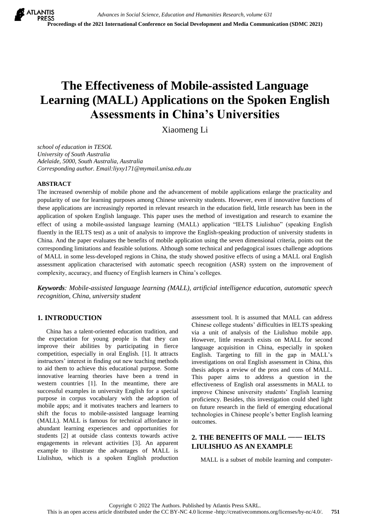# **The Effectiveness of Mobile-assisted Language Learning (MALL) Applications on the Spoken English Assessments in China's Universities**

Xiaomeng Li

*school of education in TESOL University of South Australia Adelaide, 5000, South Australia, Australia Corresponding author. Email:liyxy171@mymail.unisa.edu.au*

## **ABSTRACT**

The increased ownership of mobile phone and the advancement of mobile applications enlarge the practicality and popularity of use for learning purposes among Chinese university students. However, even if innovative functions of these applications are increasingly reported in relevant research in the education field, little research has been in the application of spoken English language. This paper uses the method of investigation and research to examine the effect of using a mobile-assisted language learning (MALL) application "IELTS Liulishuo" (speaking English fluently in the IELTS test) as a unit of analysis to improve the English-speaking production of university students in China. And the paper evaluates the benefits of mobile application using the seven dimensional criteria, points out the corresponding limitations and feasible solutions. Although some technical and pedagogical issues challenge adoptions of MALL in some less-developed regions in China, the study showed positive effects of using a MALL oral English assessment application characterised with automatic speech recognition (ASR) system on the improvement of complexity, accuracy, and fluency of English learners in China's colleges.

*Keywords: Mobile-assisted language learning (MALL), artificial intelligence education, automatic speech recognition, China, university student*

# **1. INTRODUCTION**

China has a talent-oriented education tradition, and the expectation for young people is that they can improve their abilities by participating in fierce competition, especially in oral English. [1]. It attracts instructors' interest in finding out new teaching methods to aid them to achieve this educational purpose. Some innovative learning theories have been a trend in western countries [1]. In the meantime, there are successful examples in university English for a special purpose in corpus vocabulary with the adoption of mobile apps; and it motivates teachers and learners to shift the focus to mobile-assisted language learning (MALL). MALL is famous for technical affordance in abundant learning experiences and opportunities for students [2] at outside class contexts towards active engagements in relevant activities [3]. An apparent example to illustrate the advantages of MALL is Liulishuo, which is a spoken English production assessment tool. It is assumed that MALL can address Chinese college students' difficulties in IELTS speaking via a unit of analysis of the Liulishuo mobile app. However, little research exists on MALL for second language acquisition in China, especially in spoken English. Targeting to fill in the gap in MALL's investigations on oral English assessment in China, this thesis adopts a review of the pros and cons of MALL. This paper aims to address a question in the effectiveness of English oral assessments in MALL to improve Chinese university students' English learning proficiency. Besides, this investigation could shed light on future research in the field of emerging educational technologies in Chinese people's better English learning outcomes.

# **2. THE BENEFITS OF MALL** —— **IELTS LIULISHUO AS AN EXAMPLE**

MALL is a subset of mobile learning and computer-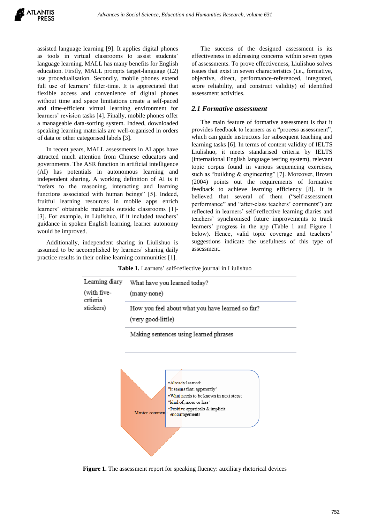assisted language learning [9]. It applies digital phones as tools in virtual classrooms to assist students' language learning. MALL has many benefits for English education. Firstly, MALL prompts target-language (L2) use procedualisation. Secondly, mobile phones extend full use of learners' filler-time. It is appreciated that flexible access and convenience of digital phones without time and space limitations create a self-paced and time-efficient virtual learning environment for learners' revision tasks [4]. Finally, mobile phones offer a manageable data-sorting system. Indeed, downloaded speaking learning materials are well-organised in orders of data or other categorised labels [3].

In recent years, MALL assessments in AI apps have attracted much attention from Chinese educators and governments. The ASR function in artificial intelligence (AI) has potentials in autonomous learning and independent sharing. A working definition of AI is it "refers to the reasoning, interacting and learning functions associated with human beings" [5]. Indeed, fruitful learning resources in mobile apps enrich learners' obtainable materials outside classrooms [1]- [3]. For example, in Liulishuo, if it included teachers' guidance in spoken English learning, learner autonomy would be improved.

Additionally, independent sharing in Liulishuo is assumed to be accomplished by learners' sharing daily practice results in their online learning communities [1].

The success of the designed assessment is its effectiveness in addressing concerns within seven types of assessments. To prove effectiveness, Liulishuo solves issues that exist in seven characteristics (i.e., formative, objective, direct, performance-referenced, integrated, score reliability, and construct validity) of identified assessment activities.

## *2.1 Formative assessment*

The main feature of formative assessment is that it provides feedback to learners as a "process assessment", which can guide instructors for subsequent teaching and learning tasks [6]. In terms of content validity of IELTS Liulishuo, it meets standarised criteria by IELTS (international English language testing system), relevant topic corpus found in various sequencing exercises, such as "building & engineering" [7]. Moreover, Brown (2004) points out the requirements of formative feedback to achieve learning efficiency [8]. It is believed that several of them ("self-assessment performance" and "after-class teachers' comments") are reflected in learners' self-reflective learning diaries and teachers' synchronised future improvements to track learners' progress in the app (Table 1 and Figure 1 below). Hence, valid topic coverage and teachers' suggestions indicate the usefulness of this type of assessment.

**Table 1.** Learners' self-reflective journal in Liulishuo

| Learning diary<br>(with five-<br>crtieria<br>stickers) | What have you learned today?<br>(many-none)      |
|--------------------------------------------------------|--------------------------------------------------|
|                                                        |                                                  |
|                                                        | How you feel about what you have learned so far? |
|                                                        | (very good-little)                               |
|                                                        | Making sentences using learned phrases           |
|                                                        |                                                  |



**Figure 1.** The assessment report for speaking fluency: auxiliary rhetorical devices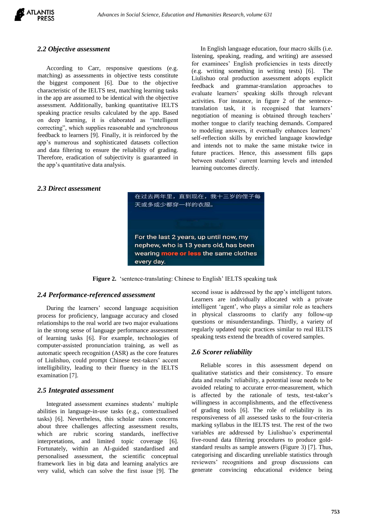

## *2.2 Objective assessment*

According to Carr, responsive questions (e.g. matching) as assessments in objective tests constitute the biggest component [6]. Due to the objective characteristic of the IELTS test, matching learning tasks in the app are assumed to be identical with the objective assessment. Additionally, banking quantitative IELTS speaking practice results calculated by the app. Based on deep learning, it is elaborated as "intelligent correcting", which supplies reasonable and synchronous feedback to learners [9]. Finally, it is reinforced by the app's numerous and sophisticated datasets collection and data filtering to ensure the reliability of grading. Therefore, eradication of subjectivity is guaranteed in the app's quantitative data analysis.

In English language education, four macro skills (i.e. listening, speaking, reading, and writing) are assessed for examinees' English proficiencies in tests directly (e.g. writing something in writing tests) [6]. The Liulishuo oral production assessment adopts explicit feedback and grammar-translation approaches to evaluate learners' speaking skills through relevant activities. For instance, in figure 2 of the sentencetranslation task, it is recognised that learners' negotiation of meaning is obtained through teachers' mother tongue to clarify teaching demands. Compared to modeling answers, it eventually enhances learners' self-reflection skills by enriched language knowledge and intends not to make the same mistake twice in future practices. Hence, this assessment fills gaps between students' current learning levels and intended learning outcomes directly.

# *2.3 Direct assessment*



**Figure 2.** 'sentence-translating: Chinese to English' IELTS speaking task

#### *2.4 Performance-referenced assessment*

During the learners' second language acquisition process for proficiency, language accuracy and closed relationships to the real world are two major evaluations in the strong sense of language performance assessment of learning tasks [6]. For example, technologies of computer-assisted pronunciation training, as well as automatic speech recognition (ASR) as the core features of Liulishuo, could prompt Chinese test-takers' accent intelligibility, leading to their fluency in the IELTS examination [7].

## *2.5 Integrated assessment*

Integrated assessment examines students' multiple abilities in language-in-use tasks (e.g., contextualised tasks) [6]. Nevertheless, this scholar raises concerns about three challenges affecting assessment results, which are rubric scoring standards, ineffective interpretations, and limited topic coverage [6]. Fortunately, within an AI-guided standardised and personalised assessment, the scientific conceptual framework lies in big data and learning analytics are very valid, which can solve the first issue [9]. The second issue is addressed by the app's intelligent tutors. Learners are individually allocated with a private intelligent 'agent', who plays a similar role as teachers in physical classrooms to clarify any follow-up questions or misunderstandings. Thirdly, a variety of regularly updated topic practices similar to real IELTS speaking tests extend the breadth of covered samples.

## *2.6 Scorer reliability*

Reliable scores in this assessment depend on qualitative statistics and their consistency. To ensure data and results' reliability, a potential issue needs to be avoided relating to accurate error-measurement, which is affected by the rationale of tests, test-taker's willingness in accomplishments, and the effectiveness of grading tools [6]. The role of reliability is its responsiveness of all assessed tasks to the four-criteria marking syllabus in the IELTS test. The rest of the two variables are addressed by Liulishuo's experimental five-round data filtering procedures to produce goldstandard results as sample answers (Figure 3) [7]. Thus, categorising and discarding unreliable statistics through reviewers' recognitions and group discussions can generate convincing educational evidence being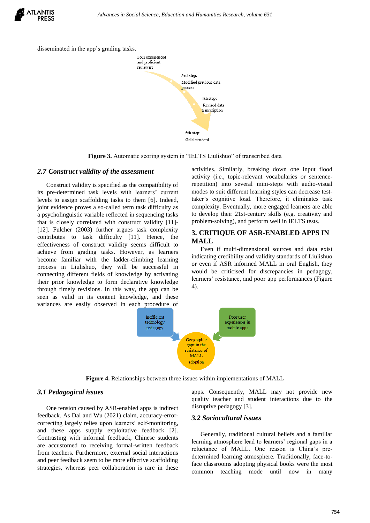



**Figure 3.** Automatic scoring system in "IELTS Liulishuo" of transcribed data

#### *2.7 Construct validity of the assessment*

Construct validity is specified as the compatibility of its pre-determined task levels with learners' current levels to assign scaffolding tasks to them [6]. Indeed, joint evidence proves a so-called term task difficulty as a psycholinguistic variable reflected in sequencing tasks that is closely correlated with construct validity [11]- [12]. Fulcher (2003) further argues task complexity contributes to task difficulty [11]. Hence, the effectiveness of construct validity seems difficult to achieve from grading tasks. However, as learners become familiar with the ladder-climbing learning process in Liulishuo, they will be successful in connecting different fields of knowledge by activating their prior knowledge to form declarative knowledge through timely revisions. In this way, the app can be seen as valid in its content knowledge, and these variances are easily observed in each procedure of activities. Similarly, breaking down one input flood activity (i.e., topic-relevant vocabularies or sentencerepetition) into several mini-steps with audio-visual modes to suit different learning styles can decrease testtaker's cognitive load. Therefore, it eliminates task complexity. Eventually, more engaged learners are able to develop their 21st-century skills (e.g. creativity and problem-solving), and perform well in IELTS tests.

## **3. CRITIQUE OF ASR-ENABLED APPS IN MALL**

Even if multi-dimensional sources and data exist indicating credibility and validity standards of Liulishuo or even if ASR informed MALL in oral English, they would be criticised for discrepancies in pedagogy, learners' resistance, and poor app performances (Figure 4).



**Figure 4.** Relationships between three issues within implementations of MALL

## *3.1 Pedagogical issues*

One tension caused by ASR-enabled apps is indirect feedback. As Dai and Wu (2021) claim, accuracy-errorcorrecting largely relies upon learners' self-monitoring, and these apps supply exploitative feedback [2]. Contrasting with informal feedback, Chinese students are accustomed to receiving formal-written feedback from teachers. Furthermore, external social interactions and peer feedback seem to be more effective scaffolding strategies, whereas peer collaboration is rare in these apps. Consequently, MALL may not provide new quality teacher and student interactions due to the disruptive pedagogy [3].

## *3.2 Sociocultural issues*

Generally, traditional cultural beliefs and a familiar learning atmosphere lead to learners' regional gaps in a reluctance of MALL. One reason is China's predetermined learning atmosphere. Traditionally, face-toface classrooms adopting physical books were the most common teaching mode until now in many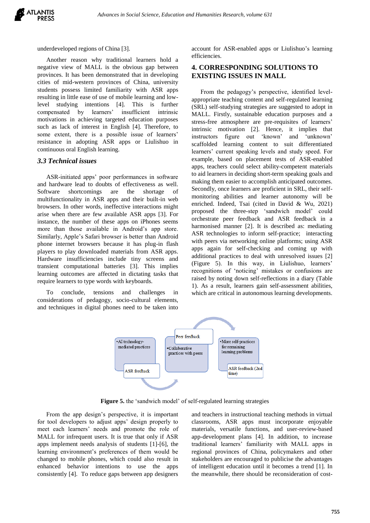

underdeveloped regions of China [3].

Another reason why traditional learners hold a negative view of MALL is the obvious gap between provinces. It has been demonstrated that in developing cities of mid-western provinces of China, university students possess limited familiarity with ASR apps resulting in little ease of use of mobile learning and lowlevel studying intentions [4]. This is further compensated by learners' insufficient intrinsic motivations in achieving targeted education purposes such as lack of interest in English [4]. Therefore, to some extent, there is a possible issue of learners' resistance in adopting ASR apps or Liulishuo in continuous oral English learning.

## *3.3 Technical issues*

ASR-initiated apps' poor performances in software and hardware lead to doubts of effectiveness as well. Software shortcomings are the shortage of multifunctionality in ASR apps and their built-in web browsers. In other words, ineffective interactions might arise when there are few available ASR apps [3]. For instance, the number of these apps on iPhones seems more than those available in Android's app store. Similarly, Apple's Safari browser is better than Android phone internet browsers because it has plug-in flash players to play downloaded materials from ASR apps. Hardware insufficiencies include tiny screens and transient computational batteries [3]. This implies learning outcomes are affected in dictating tasks that require learners to type words with keyboards.

To conclude, tensions and challenges in considerations of pedagogy, socio-cultural elements, and techniques in digital phones need to be taken into account for ASR-enabled apps or Liulishuo's learning efficiencies.

# **4. CORRESPONDING SOLUTIONS TO EXISTING ISSUES IN MALL**

From the pedagogy's perspective, identified levelappropriate teaching content and self-regulated learning (SRL) self-studying strategies are suggested to adopt in MALL. Firstly, sustainable education purposes and a stress-free atmosphere are pre-requisites of learners' intrinsic motivation [2]. Hence, it implies that instructors figure out 'known' and 'unknown' scaffolded learning content to suit differentiated learners' current speaking levels and study speed. For example, based on placement tests of ASR-enabled apps, teachers could select ability-competent materials to aid learners in deciding short-term speaking goals and making them easier to accomplish anticipated outcomes. Secondly, once learners are proficient in SRL, their selfmonitoring abilities and learner autonomy will be enriched. Indeed, Tsai (cited in David & Wu, 2021) proposed the three-step 'sandwich model' could orchestrate peer feedback and ASR feedback in a harmonised manner [2]. It is described as: mediating ASR technologies to inform self-practice; interacting with peers via networking online platforms; using ASR apps again for self-checking and coming up with additional practices to deal with unresolved issues [2] (Figure 5). In this way, in Liulishuo, learners' recognitions of 'noticing' mistakes or confusions are raised by noting down self-reflections in a diary (Table 1). As a result, learners gain self-assessment abilities, which are critical in autonomous learning developments.



**Figure 5.** the 'sandwich model' of self-regulated learning strategies

From the app design's perspective, it is important for tool developers to adjust apps' design properly to meet each learners' needs and promote the role of MALL for infrequent users. It is true that only if ASR apps implement needs analysis of students [1]-[6], the learning environment's preferences of them would be changed to mobile phones, which could also result in enhanced behavior intentions to use the apps consistently [4]. To reduce gaps between app designers

and teachers in instructional teaching methods in virtual classrooms, ASR apps must incorporate enjoyable materials, versatile functions, and user-review-based app-development plans [4]. In addition, to increase traditional learners' familiarity with MALL apps in regional provinces of China, policymakers and other stakeholders are encouraged to publicise the advantages of intelligent education until it becomes a trend [1]. In the meanwhile, there should be reconsideration of cost